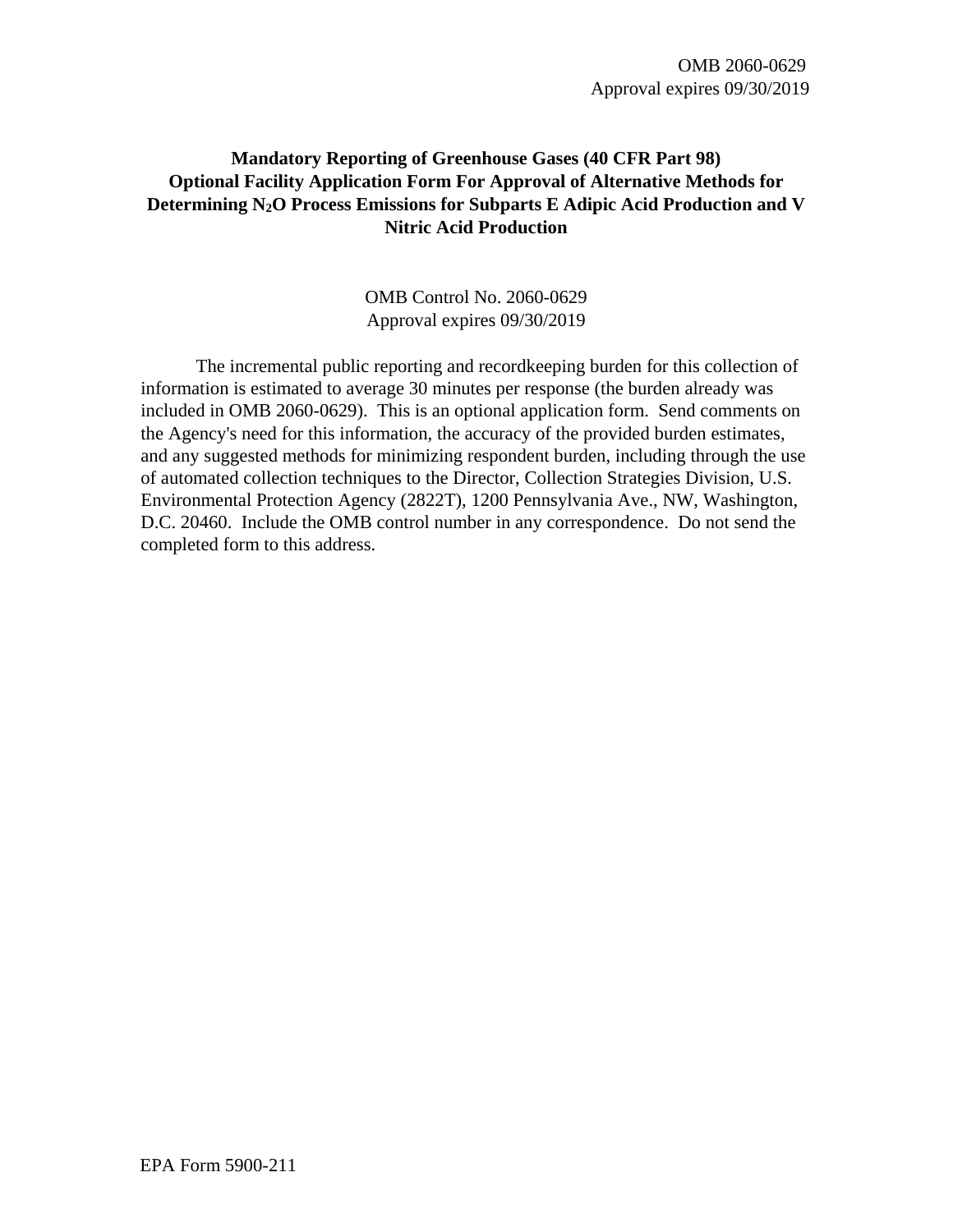OMB 2060-0629 Approval expires 09/30/2019

## **Mandatory Reporting of Greenhouse Gases (40 CFR Part 98) Optional Facility Application Form For Approval of Alternative Methods for Determining N2O Process Emissions for Subparts E Adipic Acid Production and V Nitric Acid Production**

OMB Control No. 2060-0629 Approval expires 09/30/2019

The incremental public reporting and recordkeeping burden for this collection of information is estimated to average 30 minutes per response (the burden already was included in OMB 2060-0629). This is an optional application form. Send comments on the Agency's need for this information, the accuracy of the provided burden estimates, and any suggested methods for minimizing respondent burden, including through the use of automated collection techniques to the Director, Collection Strategies Division, U.S. Environmental Protection Agency (2822T), 1200 Pennsylvania Ave., NW, Washington, D.C. 20460. Include the OMB control number in any correspondence. Do not send the completed form to this address.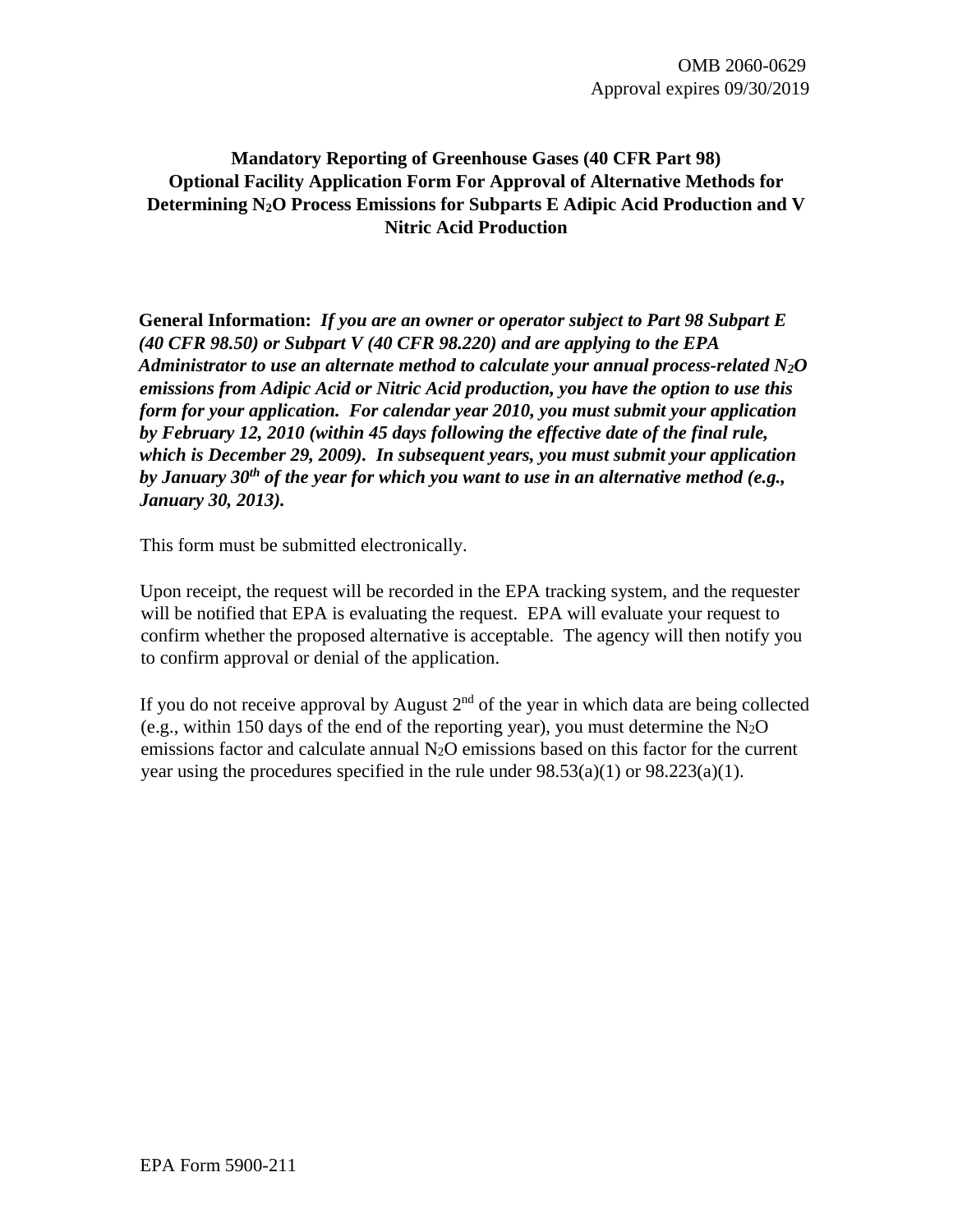OMB 2060-0629 Approval expires 09/30/2019

## **Mandatory Reporting of Greenhouse Gases (40 CFR Part 98) Optional Facility Application Form For Approval of Alternative Methods for Determining N2O Process Emissions for Subparts E Adipic Acid Production and V Nitric Acid Production**

**General Information:** *If you are an owner or operator subject to Part 98 Subpart E (40 CFR 98.50) or Subpart V (40 CFR 98.220) and are applying to the EPA Administrator to use an alternate method to calculate your annual process-related N2O emissions from Adipic Acid or Nitric Acid production, you have the option to use this form for your application. For calendar year 2010, you must submit your application by February 12, 2010 (within 45 days following the effective date of the final rule, which is December 29, 2009). In subsequent years, you must submit your application by January 30th of the year for which you want to use in an alternative method (e.g., January 30, 2013).* 

This form must be submitted electronically.

Upon receipt, the request will be recorded in the EPA tracking system, and the requester will be notified that EPA is evaluating the request. EPA will evaluate your request to confirm whether the proposed alternative is acceptable. The agency will then notify you to confirm approval or denial of the application.

If you do not receive approval by August  $2<sup>nd</sup>$  of the year in which data are being collected (e.g., within 150 days of the end of the reporting year), you must determine the  $N_2O$ emissions factor and calculate annual N2O emissions based on this factor for the current year using the procedures specified in the rule under  $98.53(a)(1)$  or  $98.223(a)(1)$ .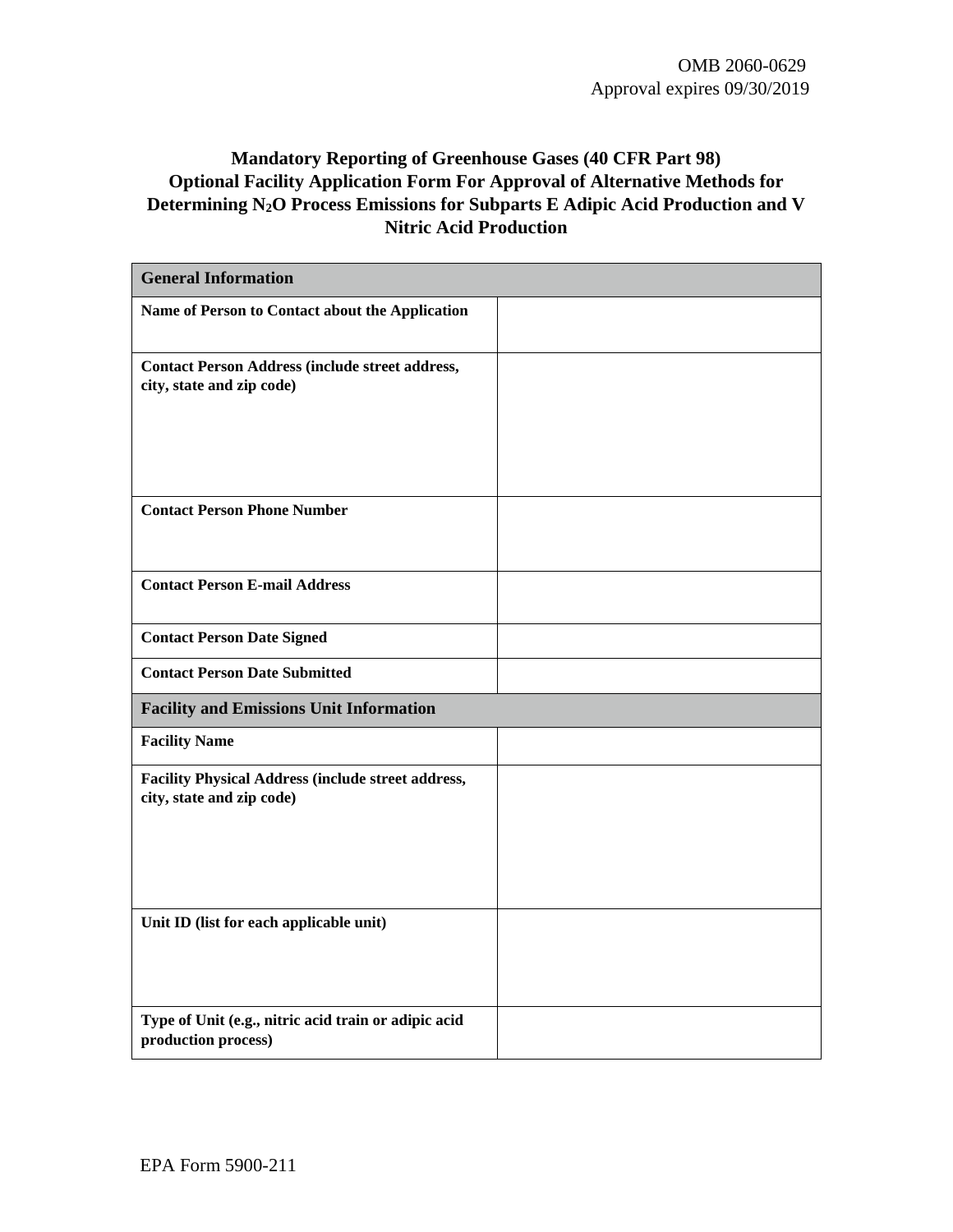# **Mandatory Reporting of Greenhouse Gases (40 CFR Part 98) Optional Facility Application Form For Approval of Alternative Methods for Determining N2O Process Emissions for Subparts E Adipic Acid Production and V Nitric Acid Production**

| <b>General Information</b>                                                             |  |
|----------------------------------------------------------------------------------------|--|
| Name of Person to Contact about the Application                                        |  |
| <b>Contact Person Address (include street address,</b><br>city, state and zip code)    |  |
|                                                                                        |  |
| <b>Contact Person Phone Number</b>                                                     |  |
| <b>Contact Person E-mail Address</b>                                                   |  |
| <b>Contact Person Date Signed</b>                                                      |  |
| <b>Contact Person Date Submitted</b>                                                   |  |
| <b>Facility and Emissions Unit Information</b>                                         |  |
| <b>Facility Name</b>                                                                   |  |
| <b>Facility Physical Address (include street address,</b><br>city, state and zip code) |  |
|                                                                                        |  |
| Unit ID (list for each applicable unit)                                                |  |
| Type of Unit (e.g., nitric acid train or adipic acid<br>production process)            |  |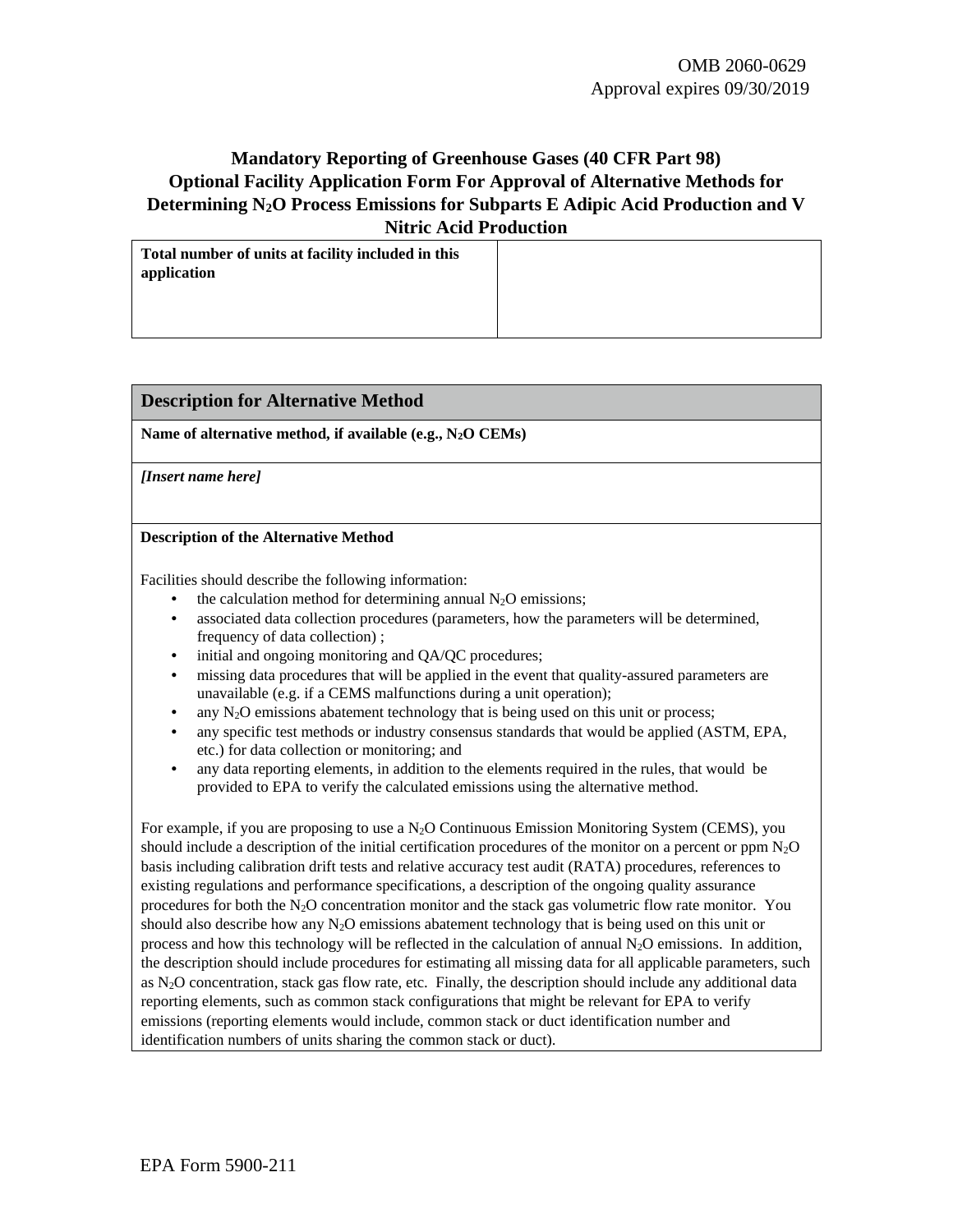## **Mandatory Reporting of Greenhouse Gases (40 CFR Part 98) Optional Facility Application Form For Approval of Alternative Methods for Determining N2O Process Emissions for Subparts E Adipic Acid Production and V Nitric Acid Production**

**Total number of units at facility included in this application** 

### **Description for Alternative Method**

**Name of alternative method, if available (e.g., N2O CEMs)** 

*[Insert name here]* 

### **Description of the Alternative Method**

Facilities should describe the following information:

- the calculation method for determining annual  $N_2O$  emissions;
- associated data collection procedures (parameters, how the parameters will be determined, frequency of data collection) ;
- initial and ongoing monitoring and QA/QC procedures;
- missing data procedures that will be applied in the event that quality-assured parameters are unavailable (e.g. if a CEMS malfunctions during a unit operation);
- any  $N_2O$  emissions abatement technology that is being used on this unit or process;
- any specific test methods or industry consensus standards that would be applied (ASTM, EPA, etc.) for data collection or monitoring; and
- any data reporting elements, in addition to the elements required in the rules, that would be provided to EPA to verify the calculated emissions using the alternative method.

For example, if you are proposing to use a N2O Continuous Emission Monitoring System (CEMS), you should include a description of the initial certification procedures of the monitor on a percent or ppm  $N_2O$ basis including calibration drift tests and relative accuracy test audit (RATA) procedures, references to existing regulations and performance specifications, a description of the ongoing quality assurance procedures for both the N2O concentration monitor and the stack gas volumetric flow rate monitor. You should also describe how any  $N_2O$  emissions abatement technology that is being used on this unit or process and how this technology will be reflected in the calculation of annual N2O emissions. In addition, the description should include procedures for estimating all missing data for all applicable parameters, such as  $N<sub>2</sub>O$  concentration, stack gas flow rate, etc. Finally, the description should include any additional data reporting elements, such as common stack configurations that might be relevant for EPA to verify emissions (reporting elements would include, common stack or duct identification number and identification numbers of units sharing the common stack or duct).